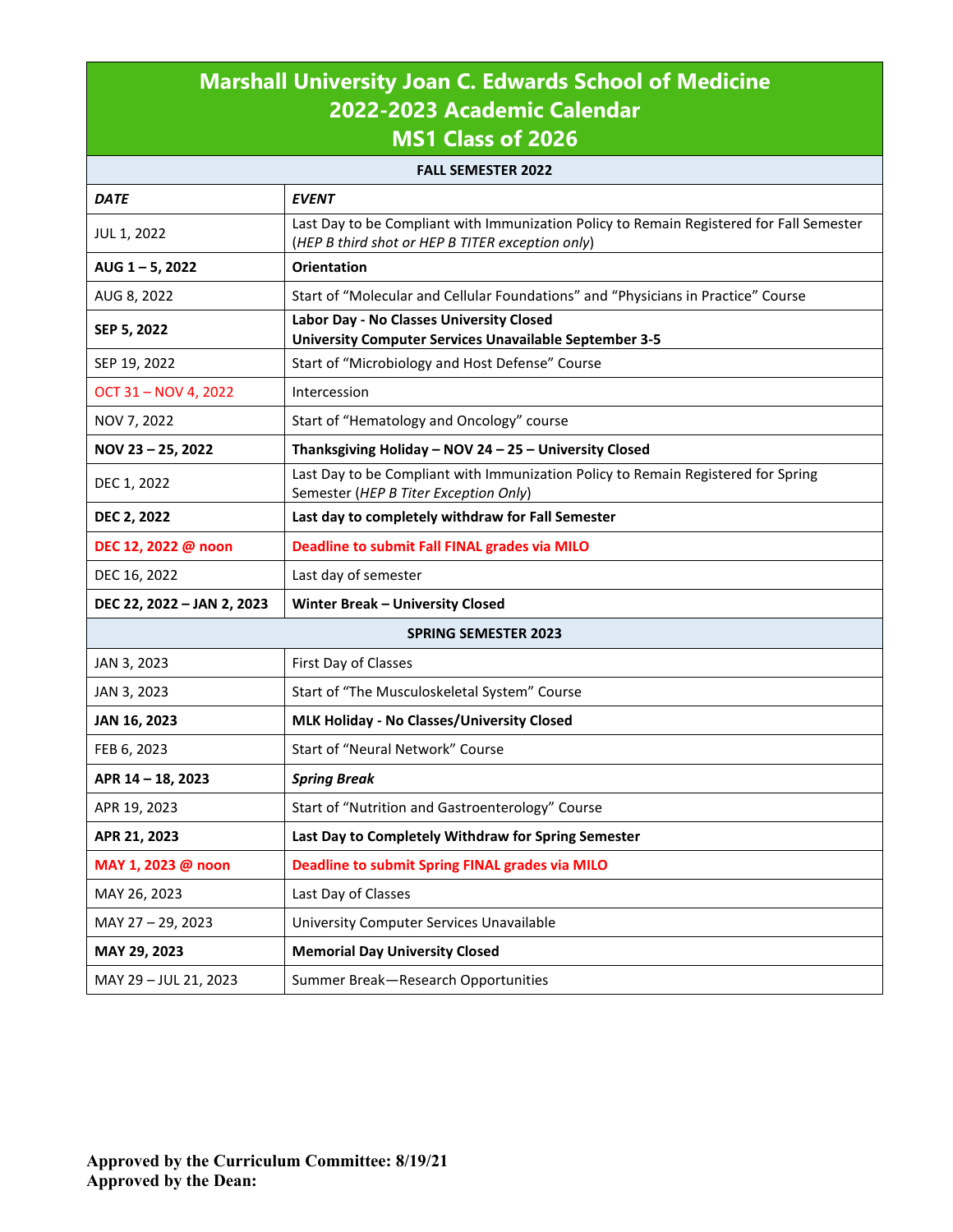| <b>Marshall University Joan C. Edwards School of Medicine</b><br>2022-2023 Academic Calendar<br><b>MS1 Class of 2026</b> |                                                                                                                                              |  |  |
|--------------------------------------------------------------------------------------------------------------------------|----------------------------------------------------------------------------------------------------------------------------------------------|--|--|
|                                                                                                                          | <b>FALL SEMESTER 2022</b>                                                                                                                    |  |  |
| <b>DATE</b>                                                                                                              | <b>EVENT</b>                                                                                                                                 |  |  |
| JUL 1, 2022                                                                                                              | Last Day to be Compliant with Immunization Policy to Remain Registered for Fall Semester<br>(HEP B third shot or HEP B TITER exception only) |  |  |
| AUG 1-5, 2022                                                                                                            | <b>Orientation</b>                                                                                                                           |  |  |
| AUG 8, 2022                                                                                                              | Start of "Molecular and Cellular Foundations" and "Physicians in Practice" Course                                                            |  |  |
| SEP 5, 2022                                                                                                              | Labor Day - No Classes University Closed<br><b>University Computer Services Unavailable September 3-5</b>                                    |  |  |
| SEP 19, 2022                                                                                                             | Start of "Microbiology and Host Defense" Course                                                                                              |  |  |
| OCT 31 - NOV 4, 2022                                                                                                     | Intercession                                                                                                                                 |  |  |
| NOV 7, 2022                                                                                                              | Start of "Hematology and Oncology" course                                                                                                    |  |  |
| NOV 23-25, 2022                                                                                                          | Thanksgiving Holiday - NOV 24 - 25 - University Closed                                                                                       |  |  |
| DEC 1, 2022                                                                                                              | Last Day to be Compliant with Immunization Policy to Remain Registered for Spring<br>Semester (HEP B Titer Exception Only)                   |  |  |
| <b>DEC 2, 2022</b>                                                                                                       | Last day to completely withdraw for Fall Semester                                                                                            |  |  |
| DEC 12, 2022 @ noon                                                                                                      | Deadline to submit Fall FINAL grades via MILO                                                                                                |  |  |
| DEC 16, 2022                                                                                                             | Last day of semester                                                                                                                         |  |  |
| DEC 22, 2022 - JAN 2, 2023                                                                                               | <b>Winter Break - University Closed</b>                                                                                                      |  |  |
| <b>SPRING SEMESTER 2023</b>                                                                                              |                                                                                                                                              |  |  |
| JAN 3, 2023                                                                                                              | First Day of Classes                                                                                                                         |  |  |
| JAN 3, 2023                                                                                                              | Start of "The Musculoskeletal System" Course                                                                                                 |  |  |
| JAN 16, 2023                                                                                                             | MLK Holiday - No Classes/University Closed                                                                                                   |  |  |
| FEB 6, 2023                                                                                                              | Start of "Neural Network" Course                                                                                                             |  |  |
| APR 14 - 18, 2023                                                                                                        | <b>Spring Break</b>                                                                                                                          |  |  |
| APR 19, 2023                                                                                                             | Start of "Nutrition and Gastroenterology" Course                                                                                             |  |  |
| APR 21, 2023                                                                                                             | Last Day to Completely Withdraw for Spring Semester                                                                                          |  |  |
| MAY 1, 2023 @ noon                                                                                                       | <b>Deadline to submit Spring FINAL grades via MILO</b>                                                                                       |  |  |
| MAY 26, 2023                                                                                                             | Last Day of Classes                                                                                                                          |  |  |
| MAY 27 - 29, 2023                                                                                                        | University Computer Services Unavailable                                                                                                     |  |  |
| MAY 29, 2023                                                                                                             | <b>Memorial Day University Closed</b>                                                                                                        |  |  |
| MAY 29 - JUL 21, 2023                                                                                                    | Summer Break-Research Opportunities                                                                                                          |  |  |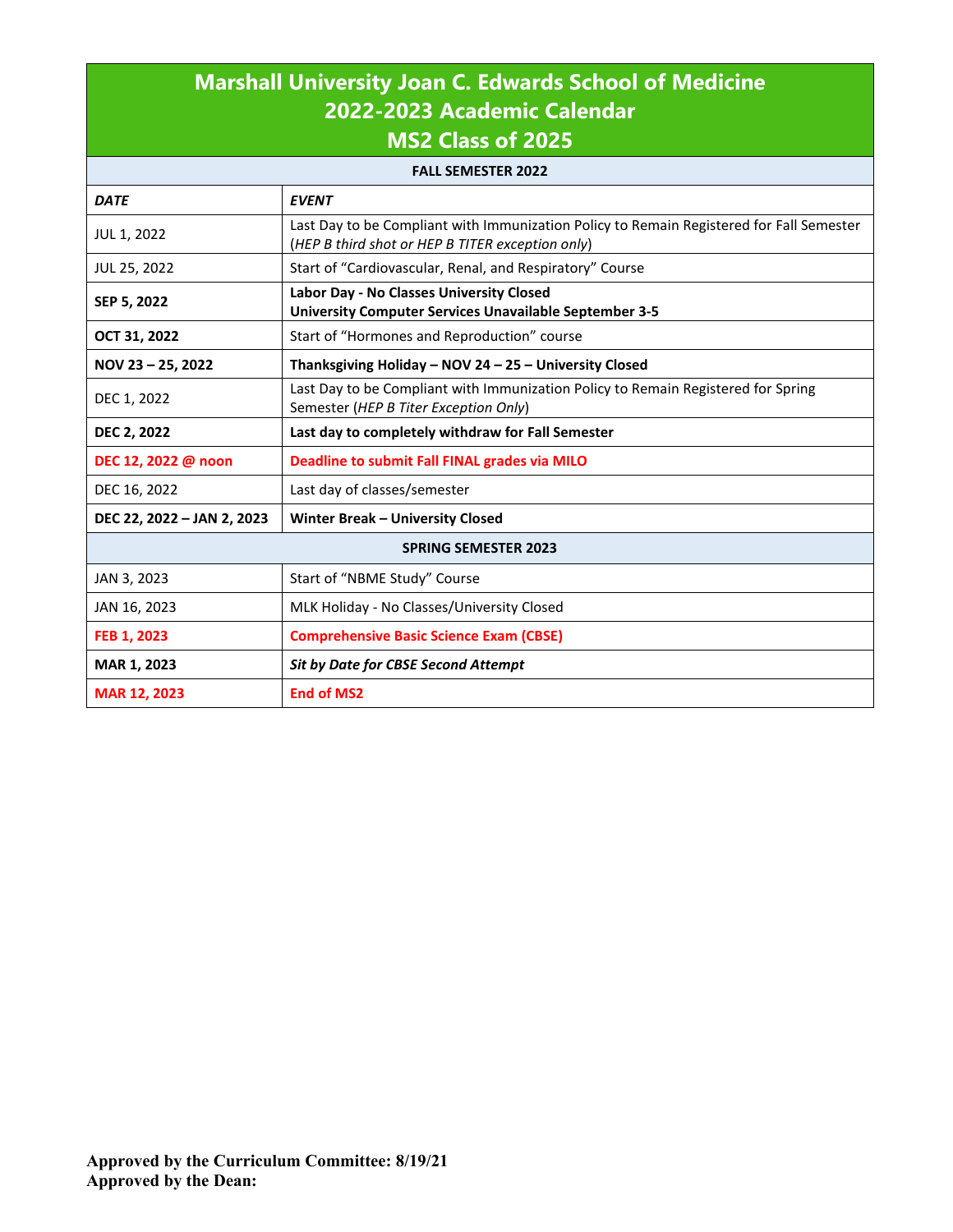## **Marshall University Joan C. Edwards School of Medicine 2022-2023 Academic Calendar MS2 Class of 2025**

| <b>FALL SEMESTER 2022</b>   |                                                                                                                                              |  |  |
|-----------------------------|----------------------------------------------------------------------------------------------------------------------------------------------|--|--|
| <b>DATE</b>                 | <b>EVENT</b>                                                                                                                                 |  |  |
| JUL 1, 2022                 | Last Day to be Compliant with Immunization Policy to Remain Registered for Fall Semester<br>(HEP B third shot or HEP B TITER exception only) |  |  |
| JUL 25, 2022                | Start of "Cardiovascular, Renal, and Respiratory" Course                                                                                     |  |  |
| SEP 5, 2022                 | Labor Day - No Classes University Closed<br>University Computer Services Unavailable September 3-5                                           |  |  |
| OCT 31, 2022                | Start of "Hormones and Reproduction" course                                                                                                  |  |  |
| NOV 23 $-$ 25, 2022         | Thanksgiving Holiday - NOV 24 - 25 - University Closed                                                                                       |  |  |
| DEC 1, 2022                 | Last Day to be Compliant with Immunization Policy to Remain Registered for Spring<br>Semester (HEP B Titer Exception Only)                   |  |  |
| <b>DEC 2, 2022</b>          | Last day to completely withdraw for Fall Semester                                                                                            |  |  |
| DEC 12, 2022 @ noon         | Deadline to submit Fall FINAL grades via MILO                                                                                                |  |  |
| DEC 16, 2022                | Last day of classes/semester                                                                                                                 |  |  |
| DEC 22, 2022 - JAN 2, 2023  | Winter Break - University Closed                                                                                                             |  |  |
| <b>SPRING SEMESTER 2023</b> |                                                                                                                                              |  |  |
| JAN 3, 2023                 | Start of "NBME Study" Course                                                                                                                 |  |  |
| JAN 16, 2023                | MLK Holiday - No Classes/University Closed                                                                                                   |  |  |
| FEB 1, 2023                 | <b>Comprehensive Basic Science Exam (CBSE)</b>                                                                                               |  |  |
| MAR 1, 2023                 | <b>Sit by Date for CBSE Second Attempt</b>                                                                                                   |  |  |
| <b>MAR 12, 2023</b>         | <b>End of MS2</b>                                                                                                                            |  |  |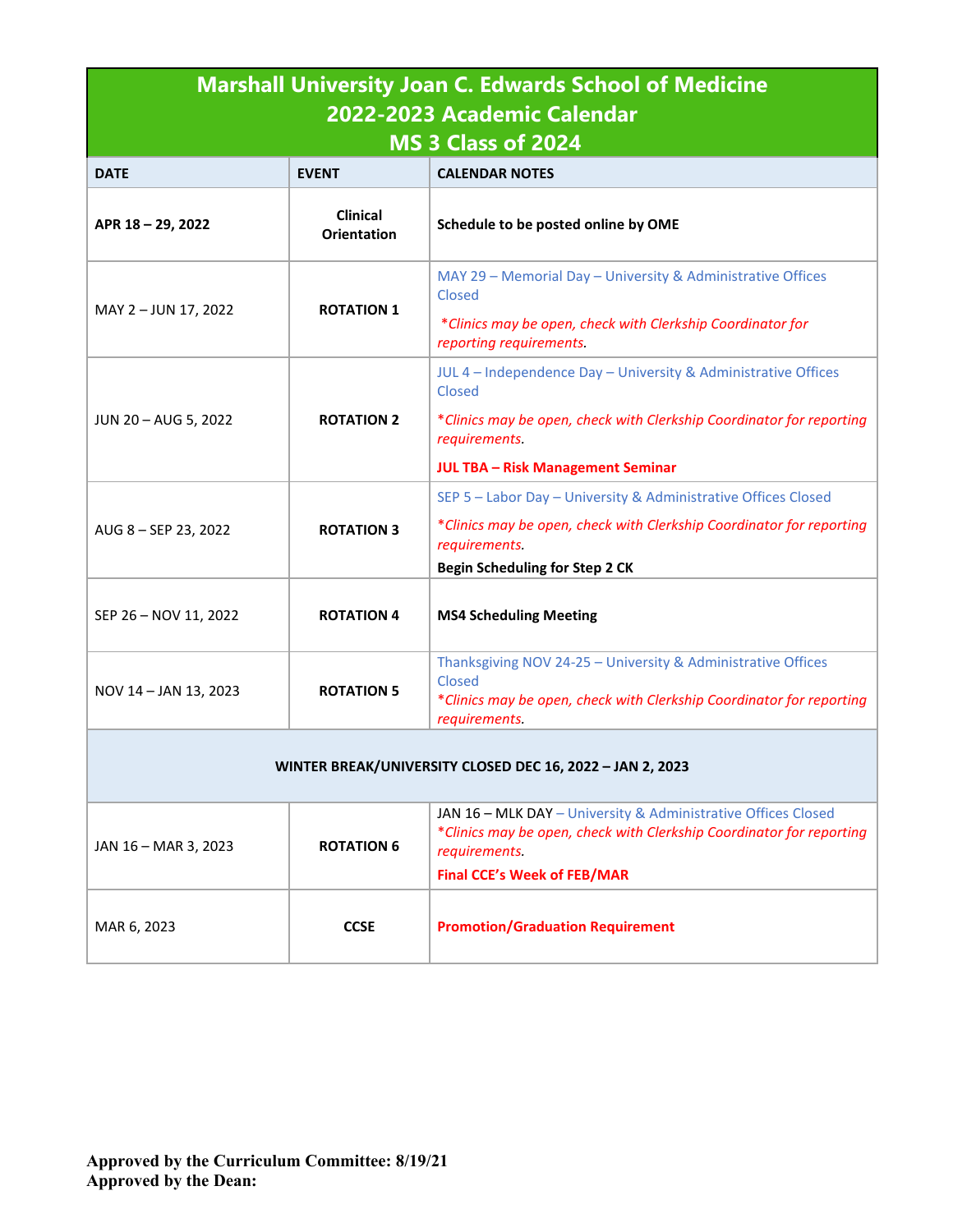| <b>Marshall University Joan C. Edwards School of Medicine</b> |                                       |                                                                                                                                                                 |  |  |
|---------------------------------------------------------------|---------------------------------------|-----------------------------------------------------------------------------------------------------------------------------------------------------------------|--|--|
| 2022-2023 Academic Calendar<br>MS 3 Class of 2024             |                                       |                                                                                                                                                                 |  |  |
| <b>DATE</b>                                                   | <b>EVENT</b>                          | <b>CALENDAR NOTES</b>                                                                                                                                           |  |  |
| APR 18-29, 2022                                               | <b>Clinical</b><br><b>Orientation</b> | Schedule to be posted online by OME                                                                                                                             |  |  |
| MAY 2 - JUN 17, 2022                                          | <b>ROTATION 1</b>                     | MAY 29 - Memorial Day - University & Administrative Offices<br>Closed                                                                                           |  |  |
|                                                               |                                       | *Clinics may be open, check with Clerkship Coordinator for<br>reporting requirements.                                                                           |  |  |
|                                                               |                                       | JUL 4 - Independence Day - University & Administrative Offices<br>Closed                                                                                        |  |  |
| JUN 20 - AUG 5, 2022                                          | <b>ROTATION 2</b>                     | *Clinics may be open, check with Clerkship Coordinator for reporting<br>requirements.                                                                           |  |  |
|                                                               |                                       | <b>JUL TBA - Risk Management Seminar</b>                                                                                                                        |  |  |
|                                                               |                                       | SEP 5 - Labor Day - University & Administrative Offices Closed                                                                                                  |  |  |
| AUG 8 - SEP 23, 2022                                          | <b>ROTATION 3</b>                     | *Clinics may be open, check with Clerkship Coordinator for reporting<br>requirements.                                                                           |  |  |
|                                                               |                                       | <b>Begin Scheduling for Step 2 CK</b>                                                                                                                           |  |  |
| SEP 26 - NOV 11, 2022                                         | <b>ROTATION 4</b>                     | <b>MS4 Scheduling Meeting</b>                                                                                                                                   |  |  |
| NOV 14 - JAN 13, 2023                                         | <b>ROTATION 5</b>                     | Thanksgiving NOV 24-25 - University & Administrative Offices<br>Closed<br>*Clinics may be open, check with Clerkship Coordinator for reporting<br>requirements. |  |  |
| WINTER BREAK/UNIVERSITY CLOSED DEC 16, 2022 - JAN 2, 2023     |                                       |                                                                                                                                                                 |  |  |
| JAN 16 - MAR 3, 2023                                          | <b>ROTATION 6</b>                     | JAN 16 - MLK DAY - University & Administrative Offices Closed<br>*Clinics may be open, check with Clerkship Coordinator for reporting<br>requirements.          |  |  |
|                                                               |                                       | <b>Final CCE's Week of FEB/MAR</b>                                                                                                                              |  |  |
| MAR 6, 2023                                                   | <b>CCSE</b>                           | <b>Promotion/Graduation Requirement</b>                                                                                                                         |  |  |